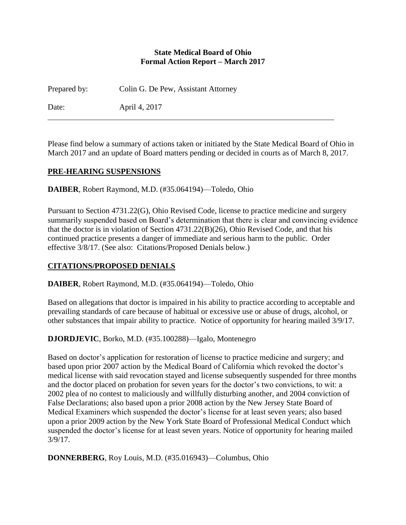#### **State Medical Board of Ohio Formal Action Report – March 2017**

Prepared by: Colin G. De Pew, Assistant Attorney

Date: April 4, 2017

Please find below a summary of actions taken or initiated by the State Medical Board of Ohio in March 2017 and an update of Board matters pending or decided in courts as of March 8, 2017.

### **PRE-HEARING SUSPENSIONS**

**DAIBER**, Robert Raymond, M.D. (#35.064194)—Toledo, Ohio

Pursuant to Section 4731.22(G), Ohio Revised Code, license to practice medicine and surgery summarily suspended based on Board's determination that there is clear and convincing evidence that the doctor is in violation of Section 4731.22(B)(26), Ohio Revised Code, and that his continued practice presents a danger of immediate and serious harm to the public. Order effective 3/8/17. (See also: Citations/Proposed Denials below.)

### **CITATIONS/PROPOSED DENIALS**

**DAIBER**, Robert Raymond, M.D. (#35.064194)—Toledo, Ohio

Based on allegations that doctor is impaired in his ability to practice according to acceptable and prevailing standards of care because of habitual or excessive use or abuse of drugs, alcohol, or other substances that impair ability to practice. Notice of opportunity for hearing mailed 3/9/17.

#### **DJORDJEVIC**, Borko, M.D. (#35.100288)—Igalo, Montenegro

Based on doctor's application for restoration of license to practice medicine and surgery; and based upon prior 2007 action by the Medical Board of California which revoked the doctor's medical license with said revocation stayed and license subsequently suspended for three months and the doctor placed on probation for seven years for the doctor's two convictions, to wit: a 2002 plea of no contest to maliciously and willfully disturbing another, and 2004 conviction of False Declarations; also based upon a prior 2008 action by the New Jersey State Board of Medical Examiners which suspended the doctor's license for at least seven years; also based upon a prior 2009 action by the New York State Board of Professional Medical Conduct which suspended the doctor's license for at least seven years. Notice of opportunity for hearing mailed 3/9/17.

**DONNERBERG**, Roy Louis, M.D. (#35.016943)—Columbus, Ohio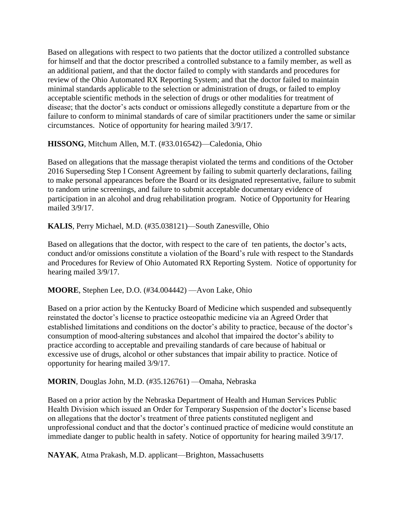Based on allegations with respect to two patients that the doctor utilized a controlled substance for himself and that the doctor prescribed a controlled substance to a family member, as well as an additional patient, and that the doctor failed to comply with standards and procedures for review of the Ohio Automated RX Reporting System; and that the doctor failed to maintain minimal standards applicable to the selection or administration of drugs, or failed to employ acceptable scientific methods in the selection of drugs or other modalities for treatment of disease; that the doctor's acts conduct or omissions allegedly constitute a departure from or the failure to conform to minimal standards of care of similar practitioners under the same or similar circumstances. Notice of opportunity for hearing mailed 3/9/17.

**HISSONG**, Mitchum Allen, M.T. (#33.016542)—Caledonia, Ohio

Based on allegations that the massage therapist violated the terms and conditions of the October 2016 Superseding Step I Consent Agreement by failing to submit quarterly declarations, failing to make personal appearances before the Board or its designated representative, failure to submit to random urine screenings, and failure to submit acceptable documentary evidence of participation in an alcohol and drug rehabilitation program. Notice of Opportunity for Hearing mailed 3/9/17.

**KALIS**, Perry Michael, M.D. (#35.038121)—South Zanesville, Ohio

Based on allegations that the doctor, with respect to the care of ten patients, the doctor's acts, conduct and/or omissions constitute a violation of the Board's rule with respect to the Standards and Procedures for Review of Ohio Automated RX Reporting System. Notice of opportunity for hearing mailed 3/9/17.

**MOORE**, Stephen Lee, D.O. (#34.004442) —Avon Lake, Ohio

Based on a prior action by the Kentucky Board of Medicine which suspended and subsequently reinstated the doctor's license to practice osteopathic medicine via an Agreed Order that established limitations and conditions on the doctor's ability to practice, because of the doctor's consumption of mood-altering substances and alcohol that impaired the doctor's ability to practice according to acceptable and prevailing standards of care because of habitual or excessive use of drugs, alcohol or other substances that impair ability to practice. Notice of opportunity for hearing mailed 3/9/17.

**MORIN**, Douglas John, M.D. (#35.126761) —Omaha, Nebraska

Based on a prior action by the Nebraska Department of Health and Human Services Public Health Division which issued an Order for Temporary Suspension of the doctor's license based on allegations that the doctor's treatment of three patients constituted negligent and unprofessional conduct and that the doctor's continued practice of medicine would constitute an immediate danger to public health in safety. Notice of opportunity for hearing mailed 3/9/17.

**NAYAK**, Atma Prakash, M.D. applicant—Brighton, Massachusetts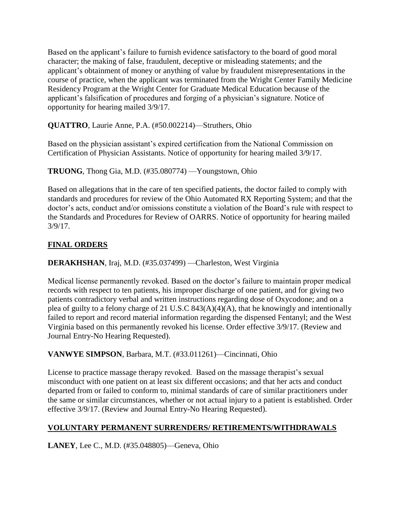Based on the applicant's failure to furnish evidence satisfactory to the board of good moral character; the making of false, fraudulent, deceptive or misleading statements; and the applicant's obtainment of money or anything of value by fraudulent misrepresentations in the course of practice, when the applicant was terminated from the Wright Center Family Medicine Residency Program at the Wright Center for Graduate Medical Education because of the applicant's falsification of procedures and forging of a physician's signature. Notice of opportunity for hearing mailed 3/9/17.

**QUATTRO**, Laurie Anne, P.A. (#50.002214)—Struthers, Ohio

Based on the physician assistant's expired certification from the National Commission on Certification of Physician Assistants. Notice of opportunity for hearing mailed 3/9/17.

**TRUONG**, Thong Gia, M.D. (#35.080774) —Youngstown, Ohio

Based on allegations that in the care of ten specified patients, the doctor failed to comply with standards and procedures for review of the Ohio Automated RX Reporting System; and that the doctor's acts, conduct and/or omissions constitute a violation of the Board's rule with respect to the Standards and Procedures for Review of OARRS. Notice of opportunity for hearing mailed 3/9/17.

# **FINAL ORDERS**

**DERAKHSHAN**, Iraj, M.D. (#35.037499) —Charleston, West Virginia

Medical license permanently revoked. Based on the doctor's failure to maintain proper medical records with respect to ten patients, his improper discharge of one patient, and for giving two patients contradictory verbal and written instructions regarding dose of Oxycodone; and on a plea of guilty to a felony charge of 21 U.S.C 843(A)(4)(A), that he knowingly and intentionally failed to report and record material information regarding the dispensed Fentanyl; and the West Virginia based on this permanently revoked his license. Order effective 3/9/17. (Review and Journal Entry-No Hearing Requested).

# **VANWYE SIMPSON**, Barbara, M.T. (#33.011261)—Cincinnati, Ohio

License to practice massage therapy revoked. Based on the massage therapist's sexual misconduct with one patient on at least six different occasions; and that her acts and conduct departed from or failed to conform to, minimal standards of care of similar practitioners under the same or similar circumstances, whether or not actual injury to a patient is established. Order effective 3/9/17. (Review and Journal Entry-No Hearing Requested).

# **VOLUNTARY PERMANENT SURRENDERS/ RETIREMENTS/WITHDRAWALS**

**LANEY**, Lee C., M.D. (#35.048805)—Geneva, Ohio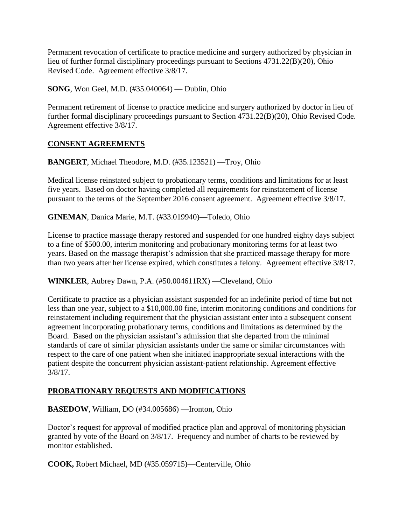Permanent revocation of certificate to practice medicine and surgery authorized by physician in lieu of further formal disciplinary proceedings pursuant to Sections 4731.22(B)(20), Ohio Revised Code. Agreement effective 3/8/17.

**SONG**, Won Geel, M.D. (#35.040064) — Dublin, Ohio

Permanent retirement of license to practice medicine and surgery authorized by doctor in lieu of further formal disciplinary proceedings pursuant to Section 4731.22(B)(20), Ohio Revised Code. Agreement effective 3/8/17.

### **CONSENT AGREEMENTS**

**BANGERT**, Michael Theodore, M.D. (#35.123521) —Troy, Ohio

Medical license reinstated subject to probationary terms, conditions and limitations for at least five years. Based on doctor having completed all requirements for reinstatement of license pursuant to the terms of the September 2016 consent agreement. Agreement effective 3/8/17.

**GINEMAN**, Danica Marie, M.T. (#33.019940)—Toledo, Ohio

License to practice massage therapy restored and suspended for one hundred eighty days subject to a fine of \$500.00, interim monitoring and probationary monitoring terms for at least two years. Based on the massage therapist's admission that she practiced massage therapy for more than two years after her license expired, which constitutes a felony. Agreement effective 3/8/17.

**WINKLER**, Aubrey Dawn, P.A. (#50.004611RX) —Cleveland, Ohio

Certificate to practice as a physician assistant suspended for an indefinite period of time but not less than one year, subject to a \$10,000.00 fine, interim monitoring conditions and conditions for reinstatement including requirement that the physician assistant enter into a subsequent consent agreement incorporating probationary terms, conditions and limitations as determined by the Board. Based on the physician assistant's admission that she departed from the minimal standards of care of similar physician assistants under the same or similar circumstances with respect to the care of one patient when she initiated inappropriate sexual interactions with the patient despite the concurrent physician assistant-patient relationship. Agreement effective 3/8/17.

### **PROBATIONARY REQUESTS AND MODIFICATIONS**

**BASEDOW**, William, DO (#34.005686) —Ironton, Ohio

Doctor's request for approval of modified practice plan and approval of monitoring physician granted by vote of the Board on 3/8/17. Frequency and number of charts to be reviewed by monitor established.

**COOK,** Robert Michael, MD (#35.059715)—Centerville, Ohio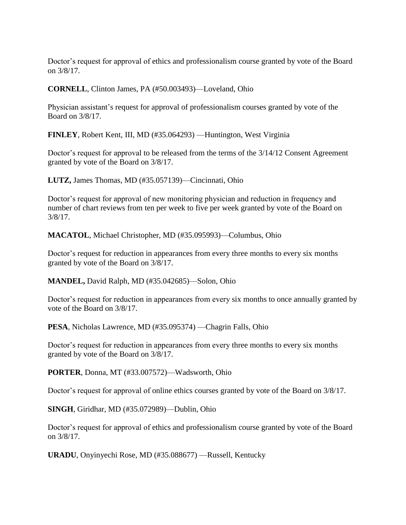Doctor's request for approval of ethics and professionalism course granted by vote of the Board on 3/8/17.

**CORNELL**, Clinton James, PA (#50.003493)—Loveland, Ohio

Physician assistant's request for approval of professionalism courses granted by vote of the Board on 3/8/17.

**FINLEY**, Robert Kent, III, MD (#35.064293) —Huntington, West Virginia

Doctor's request for approval to be released from the terms of the 3/14/12 Consent Agreement granted by vote of the Board on 3/8/17.

**LUTZ,** James Thomas, MD (#35.057139)—Cincinnati, Ohio

Doctor's request for approval of new monitoring physician and reduction in frequency and number of chart reviews from ten per week to five per week granted by vote of the Board on 3/8/17.

**MACATOL**, Michael Christopher, MD (#35.095993)—Columbus, Ohio

Doctor's request for reduction in appearances from every three months to every six months granted by vote of the Board on 3/8/17.

**MANDEL,** David Ralph, MD (#35.042685)—Solon, Ohio

Doctor's request for reduction in appearances from every six months to once annually granted by vote of the Board on 3/8/17.

**PESA**, Nicholas Lawrence, MD (#35.095374) —Chagrin Falls, Ohio

Doctor's request for reduction in appearances from every three months to every six months granted by vote of the Board on 3/8/17.

**PORTER**, Donna, MT (#33.007572)—Wadsworth, Ohio

Doctor's request for approval of online ethics courses granted by vote of the Board on 3/8/17.

**SINGH**, Giridhar, MD (#35.072989)—Dublin, Ohio

Doctor's request for approval of ethics and professionalism course granted by vote of the Board on 3/8/17.

**URADU**, Onyinyechi Rose, MD (#35.088677) —Russell, Kentucky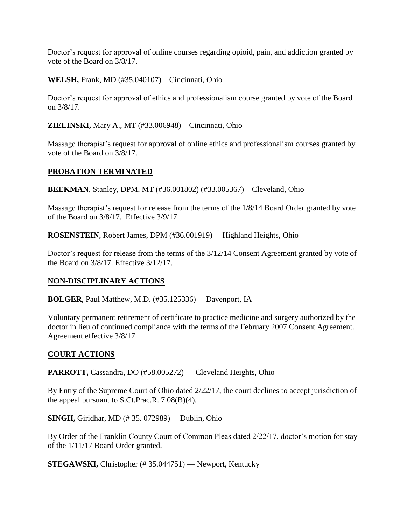Doctor's request for approval of online courses regarding opioid, pain, and addiction granted by vote of the Board on 3/8/17.

**WELSH,** Frank, MD (#35.040107)—Cincinnati, Ohio

Doctor's request for approval of ethics and professionalism course granted by vote of the Board on 3/8/17.

**ZIELINSKI,** Mary A., MT (#33.006948)—Cincinnati, Ohio

Massage therapist's request for approval of online ethics and professionalism courses granted by vote of the Board on 3/8/17.

## **PROBATION TERMINATED**

**BEEKMAN**, Stanley, DPM, MT (#36.001802) (#33.005367)—Cleveland, Ohio

Massage therapist's request for release from the terms of the 1/8/14 Board Order granted by vote of the Board on 3/8/17. Effective 3/9/17.

**ROSENSTEIN**, Robert James, DPM (#36.001919) —Highland Heights, Ohio

Doctor's request for release from the terms of the 3/12/14 Consent Agreement granted by vote of the Board on 3/8/17. Effective 3/12/17.

## **NON-DISCIPLINARY ACTIONS**

**BOLGER**, Paul Matthew, M.D. (#35.125336) —Davenport, IA

Voluntary permanent retirement of certificate to practice medicine and surgery authorized by the doctor in lieu of continued compliance with the terms of the February 2007 Consent Agreement. Agreement effective 3/8/17.

## **COURT ACTIONS**

**PARROTT,** Cassandra, DO (#58.005272) — Cleveland Heights, Ohio

By Entry of the Supreme Court of Ohio dated 2/22/17, the court declines to accept jurisdiction of the appeal pursuant to S.Ct.Prac.R. 7.08(B)(4).

**SINGH,** Giridhar, MD (# 35. 072989)— Dublin, Ohio

By Order of the Franklin County Court of Common Pleas dated 2/22/17, doctor's motion for stay of the 1/11/17 Board Order granted.

**STEGAWSKI,** Christopher (# 35.044751) — Newport, Kentucky